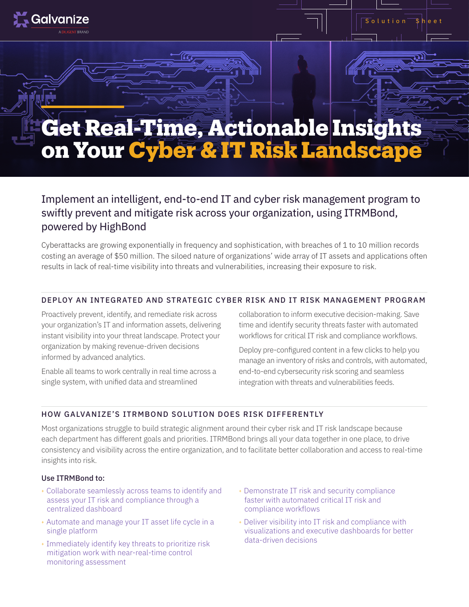

# Implement an intelligent, end-to-end IT and cyber risk management program to swiftly prevent and mitigate risk across your organization, using ITRMBond, powered by HighBond

Cyberattacks are growing exponentially in frequency and sophistication, with breaches of 1 to 10 million records costing an average of \$50 million. The siloed nature of organizations' wide array of IT assets and applications often results in lack of real-time visibility into threats and vulnerabilities, increasing their exposure to risk.

# DEPLOY AN INTEGRATED AND STRATEGIC CYBER RISK AND IT RISK MANAGEMENT PROGRAM

Proactively prevent, identify, and remediate risk across your organization's IT and information assets, delivering instant visibility into your threat landscape. Protect your organization by making revenue-driven decisions informed by advanced analytics.

Enable all teams to work centrally in real time across a single system, with unified data and streamlined

collaboration to inform executive decision-making. Save time and identify security threats faster with automated workflows for critical IT risk and compliance workflows.

 $S$  olution  $\overline{\phantom{a}}$  sheet

Deploy pre-configured content in a few clicks to help you manage an inventory of risks and controls, with automated, end-to-end cybersecurity risk scoring and seamless integration with threats and vulnerabilities feeds.

#### HOW GALVANIZE'S ITRMBOND SOLUTION DOES RISK DIFFERENTLY

Most organizations struggle to build strategic alignment around their cyber risk and IT risk landscape because each department has different goals and priorities. ITRMBond brings all your data together in one place, to drive consistency and visibility across the entire organization, and to facilitate better collaboration and access to real-time insights into risk.

#### Use ITRMBond to:

Galvanize

- <sup>+</sup> Collaborate seamlessly across teams to identify and assess your IT risk and compliance through a centralized dashboard
- <sup>+</sup> Automate and manage your IT asset life cycle in a single platform
- <sup>+</sup> Immediately identify key threats to prioritize risk mitigation work with near-real-time control monitoring assessment
- <sup>+</sup> Demonstrate IT risk and security compliance faster with automated critical IT risk and compliance workflows
- <sup>+</sup> Deliver visibility into IT risk and compliance with visualizations and executive dashboards for better data-driven decisions